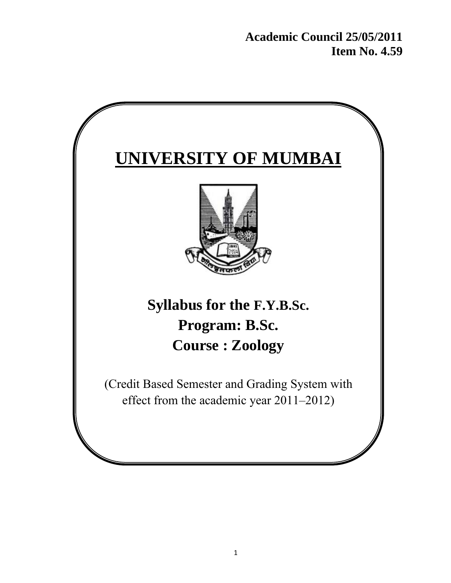**Academic Council 25/05/2011 Item No. 4.59** 

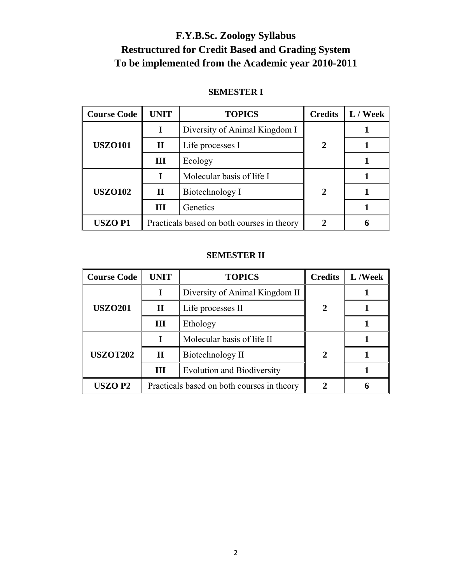# **F.Y.B.Sc. Zoology Syllabus Restructured for Credit Based and Grading System To be implemented from the Academic year 2010-2011**

## **SEMESTER I**

| <b>Course Code</b> | <b>UNIT</b>                                | <b>Credits</b><br><b>TOPICS</b> |                             | $\parallel$ L / Week |
|--------------------|--------------------------------------------|---------------------------------|-----------------------------|----------------------|
|                    |                                            | Diversity of Animal Kingdom I   |                             |                      |
| <b>USZO101</b>     | $\mathbf H$                                | Life processes I                | $\mathbf 2$                 |                      |
|                    | Ш                                          | Ecology                         |                             |                      |
|                    |                                            | Molecular basis of life I       |                             |                      |
| <b>USZO102</b>     | $\mathbf H$                                | Biotechnology I                 | $\mathcal{D}_{\mathcal{L}}$ |                      |
|                    | Ш                                          | Genetics                        |                             |                      |
| <b>USZOP1</b>      | Practicals based on both courses in theory |                                 |                             |                      |

### **SEMESTER II**

| <b>Course Code</b> | <b>TOPICS</b><br><b>UNIT</b>               |                                   | <b>Credits</b> | L/Week |
|--------------------|--------------------------------------------|-----------------------------------|----------------|--------|
|                    | I                                          | Diversity of Animal Kingdom II    |                |        |
| <b>USZO201</b>     | $\mathbf{I}$                               | Life processes II<br>2            |                |        |
|                    | Ш                                          | Ethology                          |                |        |
|                    |                                            | Molecular basis of life II        |                |        |
| <b>USZOT202</b>    | $\mathbf{I}$                               | Biotechnology II                  | $\mathbf{2}$   |        |
|                    | Ш                                          | <b>Evolution and Biodiversity</b> |                |        |
| <b>USZOP2</b>      | Practicals based on both courses in theory |                                   |                |        |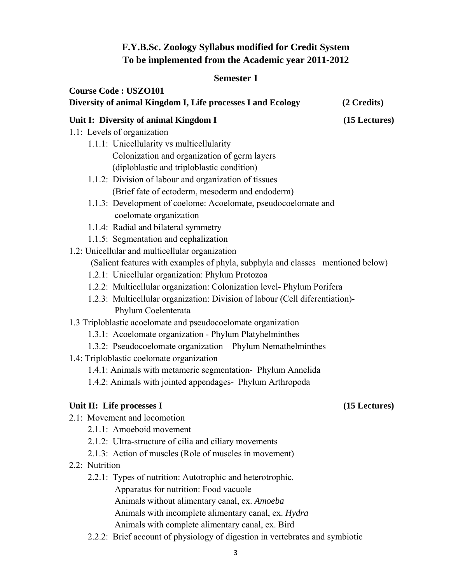# **F.Y.B.Sc. Zoology Syllabus modified for Credit System To be implemented from the Academic year 2011-2012**

## **Semester I**

| <b>Course Code: USZO101</b>                                                     |               |
|---------------------------------------------------------------------------------|---------------|
| Diversity of animal Kingdom I, Life processes I and Ecology                     | (2 Credits)   |
| Unit I: Diversity of animal Kingdom I                                           | (15 Lectures) |
| 1.1: Levels of organization                                                     |               |
| 1.1.1: Unicellularity vs multicellularity                                       |               |
| Colonization and organization of germ layers                                    |               |
| (diploblastic and triploblastic condition)                                      |               |
| 1.1.2: Division of labour and organization of tissues                           |               |
| (Brief fate of ectoderm, mesoderm and endoderm)                                 |               |
| 1.1.3: Development of coelome: Acoelomate, pseudocoelomate and                  |               |
| coelomate organization                                                          |               |
| 1.1.4: Radial and bilateral symmetry                                            |               |
| 1.1.5: Segmentation and cephalization                                           |               |
| 1.2: Unicellular and multicellular organization                                 |               |
| (Salient features with examples of phyla, subphyla and classes mentioned below) |               |
| 1.2.1: Unicellular organization: Phylum Protozoa                                |               |
| 1.2.2: Multicellular organization: Colonization level- Phylum Porifera          |               |
| 1.2.3: Multicellular organization: Division of labour (Cell diferentiation)-    |               |
| Phylum Coelenterata                                                             |               |
| 1.3 Triploblastic acoelomate and pseudocoelomate organization                   |               |
| 1.3.1: Acoelomate organization - Phylum Platyhelminthes                         |               |
| 1.3.2: Pseudocoelomate organization - Phylum Nemathelminthes                    |               |
| 1.4: Triploblastic coelomate organization                                       |               |
| 1.4.1: Animals with metameric segmentation- Phylum Annelida                     |               |
| 1.4.2: Animals with jointed appendages- Phylum Arthropoda                       |               |
| Unit II: Life processes I                                                       | (15 Lectures) |
| 2.1: Movement and locomotion                                                    |               |
| 2.1.1: Amoeboid movement                                                        |               |
| 2.1.2: Ultra-structure of cilia and ciliary movements                           |               |
| 2.1.3: Action of muscles (Role of muscles in movement)                          |               |
| 2.2: Nutrition                                                                  |               |
| 2.2.1: Types of nutrition: Autotrophic and heterotrophic.                       |               |
| Apparatus for nutrition: Food vacuole                                           |               |

Animals without alimentary canal, ex. *Amoeba* 

Animals with incomplete alimentary canal, ex. *Hydra* 

Animals with complete alimentary canal, ex. Bird

2.2.2: Brief account of physiology of digestion in vertebrates and symbiotic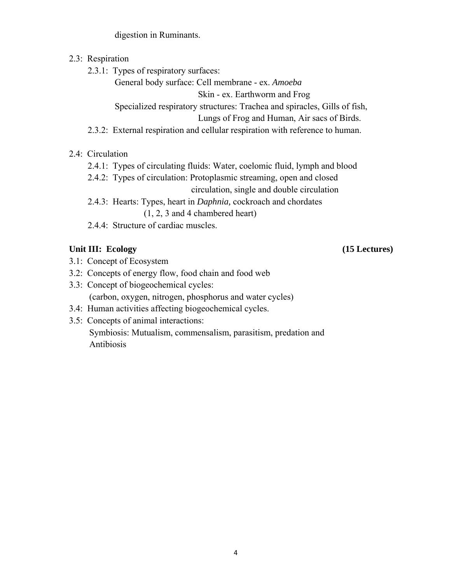digestion in Ruminants.

- 2.3: Respiration
	- 2.3.1: Types of respiratory surfaces:

General body surface: Cell membrane - ex. *Amoeba* 

Skin - ex. Earthworm and Frog

Specialized respiratory structures: Trachea and spiracles, Gills of fish,

Lungs of Frog and Human, Air sacs of Birds.

- 2.3.2: External respiration and cellular respiration with reference to human.
- 2.4: Circulation
	- 2.4.1: Types of circulating fluids: Water, coelomic fluid, lymph and blood
	- 2.4.2: Types of circulation: Protoplasmic streaming, open and closed

circulation, single and double circulation

- 2.4.3: Hearts: Types, heart in *Daphnia,* cockroach and chordates (1, 2, 3 and 4 chambered heart)
- 2.4.4: Structure of cardiac muscles.

# Unit III: Ecology (15 Lectures)

- 3.1: Concept of Ecosystem
- 3.2: Concepts of energy flow, food chain and food web
- 3.3: Concept of biogeochemical cycles: (carbon, oxygen, nitrogen, phosphorus and water cycles)
- 3.4: Human activities affecting biogeochemical cycles.
- 3.5: Concepts of animal interactions: Symbiosis: Mutualism, commensalism, parasitism, predation and Antibiosis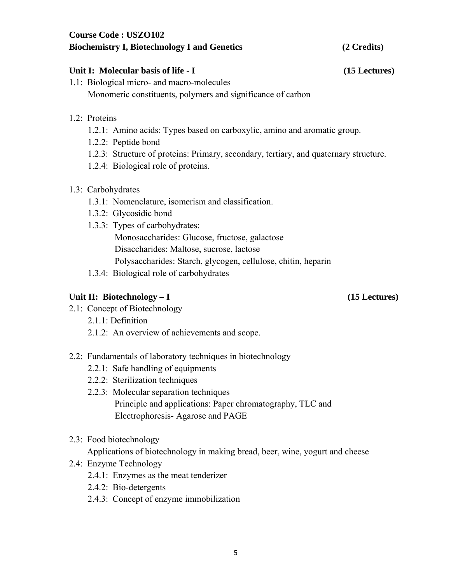### **Course Code : USZO102 Biochemistry I, Biotechnology I and Genetics (2 Credits)**

### Unit I: Molecular basis of life - I (15 Lectures)

- 1.1: Biological micro- and macro-molecules Monomeric constituents, polymers and significance of carbon
- 1.2: Proteins
	- 1.2.1: Amino acids: Types based on carboxylic, amino and aromatic group.
	- 1.2.2: Peptide bond
	- 1.2.3: Structure of proteins: Primary, secondary, tertiary, and quaternary structure.
	- 1.2.4: Biological role of proteins.

### 1.3: Carbohydrates

- 1.3.1: Nomenclature, isomerism and classification.
- 1.3.2: Glycosidic bond
- 1.3.3: Types of carbohydrates: Monosaccharides: Glucose, fructose, galactose Disaccharides: Maltose, sucrose, lactose Polysaccharides: Starch, glycogen, cellulose, chitin, heparin
- 1.3.4: Biological role of carbohydrates

### Unit II: Biotechnology – I (15 Lectures)

- 2.1: Concept of Biotechnology
	- 2.1.1: Definition
	- 2.1.2: An overview of achievements and scope.

### 2.2: Fundamentals of laboratory techniques in biotechnology

- 2.2.1: Safe handling of equipments
- 2.2.2: Sterilization techniques
- 2.2.3: Molecular separation techniques Principle and applications: Paper chromatography, TLC and Electrophoresis- Agarose and PAGE
- 2.3: Food biotechnology

Applications of biotechnology in making bread, beer, wine, yogurt and cheese

- 2.4: Enzyme Technology
	- 2.4.1: Enzymes as the meat tenderizer
	- 2.4.2: Bio-detergents
	- 2.4.3: Concept of enzyme immobilization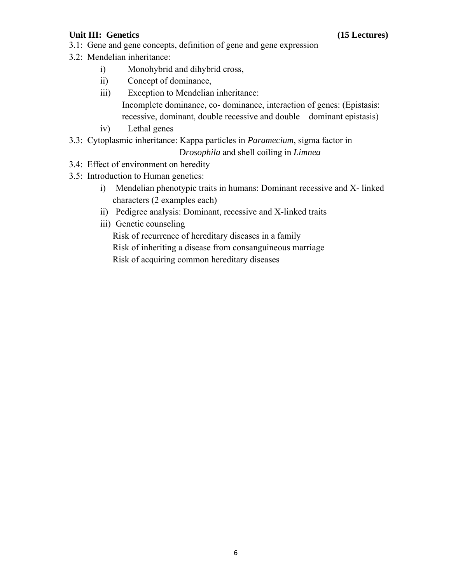## Unit III: Genetics (15 Lectures)

- 3.1: Gene and gene concepts, definition of gene and gene expression
- 3.2: Mendelian inheritance:
	- i) Monohybrid and dihybrid cross,
	- ii) Concept of dominance,
	- iii) Exception to Mendelian inheritance: Incomplete dominance, co- dominance, interaction of genes: (Epistasis: recessive, dominant, double recessive and double dominant epistasis)
	- iv) Lethal genes
- 3.3: Cytoplasmic inheritance: Kappa particles in *Paramecium*, sigma factor in D*rosophila* and shell coiling in *Limnea*
- 3.4: Effect of environment on heredity
- 3.5: Introduction to Human genetics:
	- i) Mendelian phenotypic traits in humans: Dominant recessive and X- linked characters (2 examples each)
	- ii) Pedigree analysis: Dominant, recessive and X-linked traits
	- iii) Genetic counseling

Risk of recurrence of hereditary diseases in a family Risk of inheriting a disease from consanguineous marriage Risk of acquiring common hereditary diseases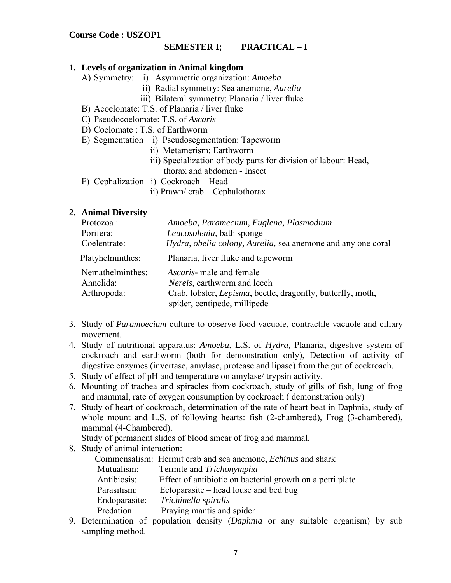### **SEMESTER I; PRACTICAL – I**

### **1. Levels of organization in Animal kingdom**

- A) Symmetry: i) Asymmetric organization: *Amoeba* 
	- ii) Radial symmetry: Sea anemone, *Aurelia*
	- iii) Bilateral symmetry: Planaria / liver fluke
- B) Acoelomate: T.S. of Planaria / liver fluke
- C) Pseudocoelomate: T.S. of *Ascaris*
- D) Coelomate : T.S. of Earthworm
- E) Segmentation i) Pseudosegmentation: Tapeworm
	- ii) Metamerism: Earthworm
	- iii) Specialization of body parts for division of labour: Head, thorax and abdomen - Insect
- F) Cephalization i) Cockroach Head
	- ii) Prawn/ crab Cephalothorax

### **2. Animal Diversity**

| Protozoa:        | Amoeba, Paramecium, Euglena, Plasmodium                             |
|------------------|---------------------------------------------------------------------|
| Porifera:        | Leucosolenia, bath sponge                                           |
| Coelentrate:     | Hydra, obelia colony, Aurelia, sea anemone and any one coral        |
| Platyhelminthes: | Planaria, liver fluke and tapeworm                                  |
| Nemathelminthes: | <i>Ascaris</i> - male and female                                    |
| Annelida:        | <i>Nereis</i> , earthworm and leech                                 |
| Arthropoda:      | Crab, lobster, <i>Lepisma</i> , beetle, dragonfly, butterfly, moth, |
|                  | spider, centipede, millipede                                        |

- 3. Study of *Paramoecium* culture to observe food vacuole, contractile vacuole and ciliary movement.
- 4. Study of nutritional apparatus: *Amoeba*, L.S. of *Hydra,* Planaria, digestive system of cockroach and earthworm (both for demonstration only), Detection of activity of digestive enzymes (invertase, amylase, protease and lipase) from the gut of cockroach.
- 5. Study of effect of pH and temperature on amylase/ trypsin activity.
- 6. Mounting of trachea and spiracles from cockroach, study of gills of fish, lung of frog and mammal, rate of oxygen consumption by cockroach ( demonstration only)
- 7. Study of heart of cockroach, determination of the rate of heart beat in Daphnia, study of whole mount and L.S. of following hearts: fish (2-chambered), Frog (3-chambered), mammal (4-Chambered).

Study of permanent slides of blood smear of frog and mammal.

8. Study of animal interaction:

|               | Commensalism: Hermit crab and sea anemone, <i>Echinus</i> and shark                                                                                                                                                                                        |
|---------------|------------------------------------------------------------------------------------------------------------------------------------------------------------------------------------------------------------------------------------------------------------|
| Mutualism:    | Termite and Trichonympha                                                                                                                                                                                                                                   |
| Antibiosis:   | Effect of antibiotic on bacterial growth on a petri plate                                                                                                                                                                                                  |
| Parasitism:   | Ectoparasite – head louse and bed bug                                                                                                                                                                                                                      |
| Endoparasite: | Trichinella spiralis                                                                                                                                                                                                                                       |
| Predation:    | Praying mantis and spider                                                                                                                                                                                                                                  |
|               | $D_{11}$ $D_{22}$ $D_{33}$ $D_{44}$ $D_{54}$ $D_{64}$ $D_{64}$ $D_{64}$ $D_{64}$ $D_{64}$ $D_{64}$ $D_{64}$ $D_{64}$ $D_{64}$ $D_{64}$ $D_{64}$ $D_{64}$ $D_{64}$ $D_{64}$ $D_{64}$ $D_{64}$ $D_{64}$ $D_{64}$ $D_{64}$ $D_{64}$ $D_{64}$ $D_{64}$ $D_{64$ |

9. Determination of population density (*Daphnia* or any suitable organism) by sub sampling method.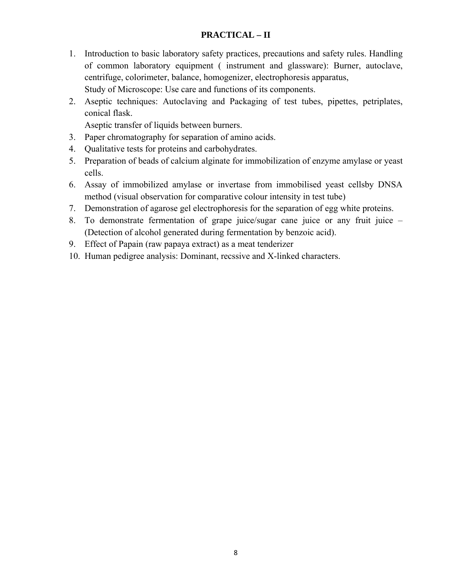### **PRACTICAL – II**

- 1. Introduction to basic laboratory safety practices, precautions and safety rules. Handling of common laboratory equipment ( instrument and glassware): Burner, autoclave, centrifuge, colorimeter, balance, homogenizer, electrophoresis apparatus, Study of Microscope: Use care and functions of its components.
- 2. Aseptic techniques: Autoclaving and Packaging of test tubes, pipettes, petriplates, conical flask.

Aseptic transfer of liquids between burners.

- 3. Paper chromatography for separation of amino acids.
- 4. Qualitative tests for proteins and carbohydrates.
- 5. Preparation of beads of calcium alginate for immobilization of enzyme amylase or yeast cells.
- 6. Assay of immobilized amylase or invertase from immobilised yeast cellsby DNSA method (visual observation for comparative colour intensity in test tube)
- 7. Demonstration of agarose gel electrophoresis for the separation of egg white proteins.
- 8. To demonstrate fermentation of grape juice/sugar cane juice or any fruit juice (Detection of alcohol generated during fermentation by benzoic acid).
- 9. Effect of Papain (raw papaya extract) as a meat tenderizer
- 10. Human pedigree analysis: Dominant, recssive and X-linked characters.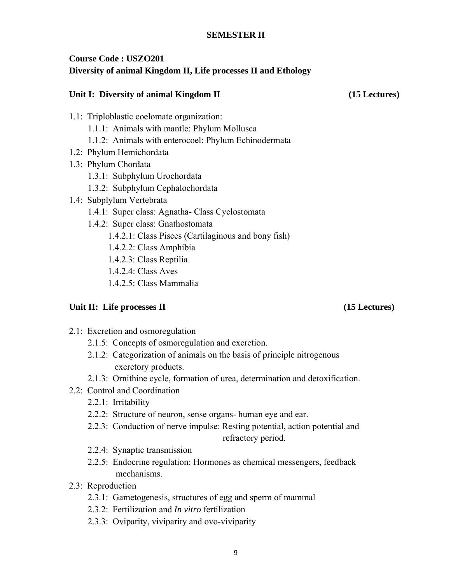### **SEMESTER II**

# **Course Code : USZO201 Diversity of animal Kingdom II, Life processes II and Ethology**

### Unit I: Diversity of animal Kingdom II (15 Lectures)

- 1.1: Triploblastic coelomate organization:
	- 1.1.1: Animals with mantle: Phylum Mollusca
	- 1.1.2: Animals with enterocoel: Phylum Echinodermata
- 1.2: Phylum Hemichordata
- 1.3: Phylum Chordata
	- 1.3.1: Subphylum Urochordata
	- 1.3.2: Subphylum Cephalochordata
- 1.4: Subplylum Vertebrata
	- 1.4.1: Super class: Agnatha- Class Cyclostomata
	- 1.4.2: Super class: Gnathostomata
		- 1.4.2.1: Class Pisces (Cartilaginous and bony fish)
		- 1.4.2.2: Class Amphibia
		- 1.4.2.3: Class Reptilia
		- 1.4.2.4: Class Aves
		- 1.4.2.5: Class Mammalia

### Unit II: Life processes II (15 Lectures)

- 2.1: Excretion and osmoregulation
	- 2.1.5: Concepts of osmoregulation and excretion.
	- 2.1.2: Categorization of animals on the basis of principle nitrogenous excretory products.
	- 2.1.3: Ornithine cycle, formation of urea, determination and detoxification.
- 2.2: Control and Coordination
	- 2.2.1: Irritability
	- 2.2.2: Structure of neuron, sense organs- human eye and ear.
	- 2.2.3: Conduction of nerve impulse: Resting potential, action potential and refractory period.
	- 2.2.4: Synaptic transmission
	- 2.2.5: Endocrine regulation: Hormones as chemical messengers, feedback mechanisms.
- 2.3: Reproduction
	- 2.3.1: Gametogenesis, structures of egg and sperm of mammal
	- 2.3.2: Fertilization and *In vitro* fertilization
	- 2.3.3: Oviparity, viviparity and ovo-viviparity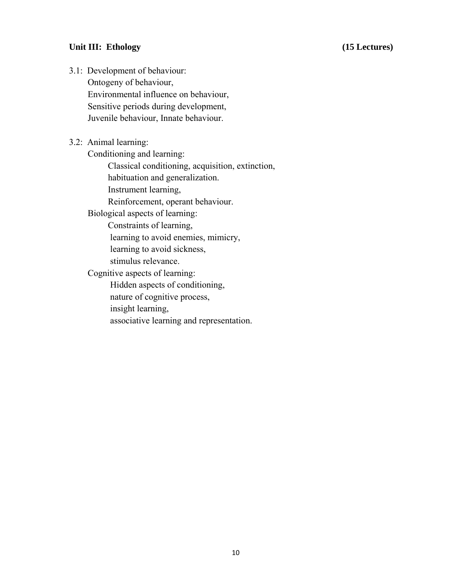### Unit III: Ethology (15 Lectures)

- 3.1: Development of behaviour: Ontogeny of behaviour, Environmental influence on behaviour, Sensitive periods during development, Juvenile behaviour, Innate behaviour.
- 3.2: Animal learning: Conditioning and learning: Classical conditioning, acquisition, extinction, habituation and generalization. Instrument learning, Reinforcement, operant behaviour. Biological aspects of learning: Constraints of learning, learning to avoid enemies, mimicry, learning to avoid sickness, stimulus relevance. Cognitive aspects of learning: Hidden aspects of conditioning, nature of cognitive process, insight learning, associative learning and representation.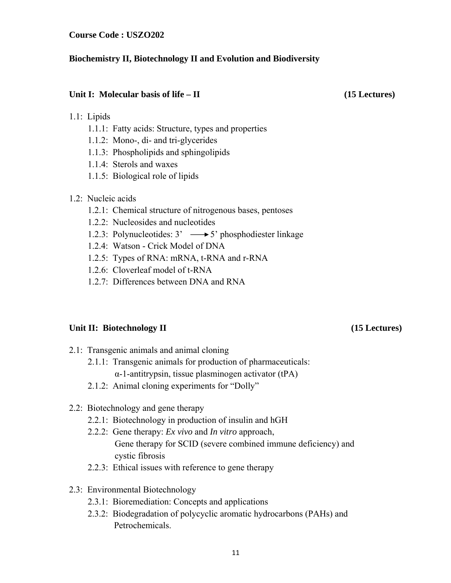**Course Code : USZO202** 

### **Biochemistry II, Biotechnology II and Evolution and Biodiversity**

### Unit I: Molecular basis of life – II (15 Lectures)

### 1.1: Lipids

- 1.1.1: Fatty acids: Structure, types and properties
- 1.1.2: Mono-, di- and tri-glycerides
- 1.1.3: Phospholipids and sphingolipids
- 1.1.4: Sterols and waxes
- 1.1.5: Biological role of lipids

## 1.2: Nucleic acids

- 1.2.1: Chemical structure of nitrogenous bases, pentoses
- 1.2.2: Nucleosides and nucleotides
- 1.2.3: Polynucleotides:  $3' \rightarrow 5'$  phosphodiester linkage
- 1.2.4: Watson Crick Model of DNA
- 1.2.5: Types of RNA: mRNA, t-RNA and r-RNA
- 1.2.6: Cloverleaf model of t-RNA
- 1.2.7: Differences between DNA and RNA

## Unit II: Biotechnology II (15 Lectures)

- 2.1: Transgenic animals and animal cloning
	- 2.1.1: Transgenic animals for production of pharmaceuticals:
		- α-1-antitrypsin, tissue plasminogen activator (tPA)
	- 2.1.2: Animal cloning experiments for "Dolly"
- 2.2: Biotechnology and gene therapy
	- 2.2.1: Biotechnology in production of insulin and hGH
	- 2.2.2: Gene therapy: *Ex vivo* and *In vitro* approach, Gene therapy for SCID (severe combined immune deficiency) and cystic fibrosis
	- 2.2.3: Ethical issues with reference to gene therapy
- 2.3: Environmental Biotechnology
	- 2.3.1: Bioremediation: Concepts and applications
	- 2.3.2: Biodegradation of polycyclic aromatic hydrocarbons (PAHs) and Petrochemicals.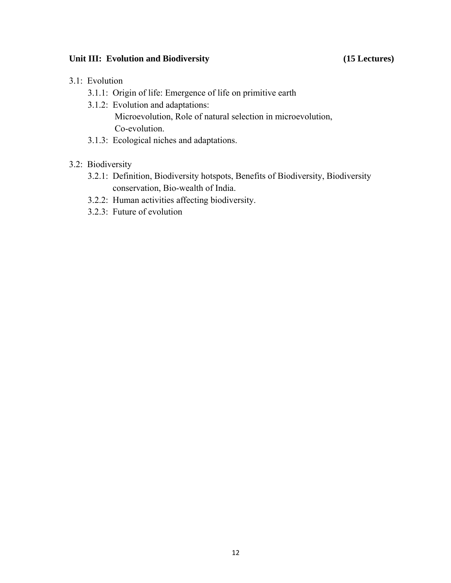### Unit III: Evolution and Biodiversity **15 Lectures** (15 Lectures)

- 3.1: Evolution
	- 3.1.1: Origin of life: Emergence of life on primitive earth
	- 3.1.2: Evolution and adaptations: Microevolution, Role of natural selection in microevolution, Co-evolution.
	- 3.1.3: Ecological niches and adaptations.

## 3.2: Biodiversity

- 3.2.1: Definition, Biodiversity hotspots, Benefits of Biodiversity, Biodiversity conservation, Bio-wealth of India.
- 3.2.2: Human activities affecting biodiversity.
- 3.2.3: Future of evolution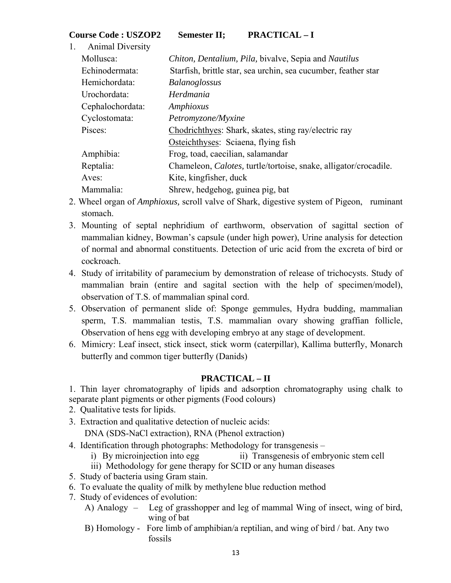| <b>Course Code : USZOP2</b> | <b>Semester II;</b> | <b>PRACTICAL-I</b> |
|-----------------------------|---------------------|--------------------|
|-----------------------------|---------------------|--------------------|

| 1. | <b>Animal Diversity</b> |                                                                          |
|----|-------------------------|--------------------------------------------------------------------------|
|    | Mollusca:               | Chiton, Dentalium, Pila, bivalve, Sepia and Nautilus                     |
|    | Echinodermata:          | Starfish, brittle star, sea urchin, sea cucumber, feather star           |
|    | Hemichordata:           | <b>Balanoglossus</b>                                                     |
|    | Urochordata:            | Herdmania                                                                |
|    | Cephalochordata:        | Amphioxus                                                                |
|    | Cyclostomata:           | Petromyzone/Myxine                                                       |
|    | Pisces:                 | Chodrichthyes: Shark, skates, sting ray/electric ray                     |
|    |                         | Osteichthyses: Sciaena, flying fish                                      |
|    | Amphibia:               | Frog, toad, caecilian, salamandar                                        |
|    | Reptalia:               | Chameleon, <i>Calotes</i> , turtle/tortoise, snake, alligator/crocadile. |
|    | Aves:                   | Kite, kingfisher, duck                                                   |
|    | Mammalia:               | Shrew, hedgehog, guinea pig, bat                                         |

- 2. Wheel organ of *Amphioxus,* scroll valve of Shark, digestive system of Pigeon, ruminant stomach.
- 3. Mounting of septal nephridium of earthworm, observation of sagittal section of mammalian kidney, Bowman's capsule (under high power), Urine analysis for detection of normal and abnormal constituents. Detection of uric acid from the excreta of bird or cockroach.
- 4. Study of irritability of paramecium by demonstration of release of trichocysts. Study of mammalian brain (entire and sagital section with the help of specimen/model), observation of T.S. of mammalian spinal cord.
- 5. Observation of permanent slide of: Sponge gemmules, Hydra budding, mammalian sperm, T.S. mammalian testis, T.S. mammalian ovary showing graffian follicle, Observation of hens egg with developing embryo at any stage of development.
- 6. Mimicry: Leaf insect, stick insect, stick worm (caterpillar), Kallima butterfly, Monarch butterfly and common tiger butterfly (Danids)

## **PRACTICAL – II**

1. Thin layer chromatography of lipids and adsorption chromatography using chalk to separate plant pigments or other pigments (Food colours)

- 2. Qualitative tests for lipids.
- 3. Extraction and qualitative detection of nucleic acids:

DNA (SDS-NaCl extraction), RNA (Phenol extraction)

- 4. Identification through photographs: Methodology for transgenesis
	- i) By microinjection into egg ii) Transgenesis of embryonic stem cell
	- iii) Methodology for gene therapy for SCID or any human diseases
- 5. Study of bacteria using Gram stain.
- 6. To evaluate the quality of milk by methylene blue reduction method
- 7. Study of evidences of evolution:
	- A) Analogy Leg of grasshopper and leg of mammal Wing of insect, wing of bird, wing of bat
	- B) Homology Fore limb of amphibian/a reptilian, and wing of bird / bat. Any two fossils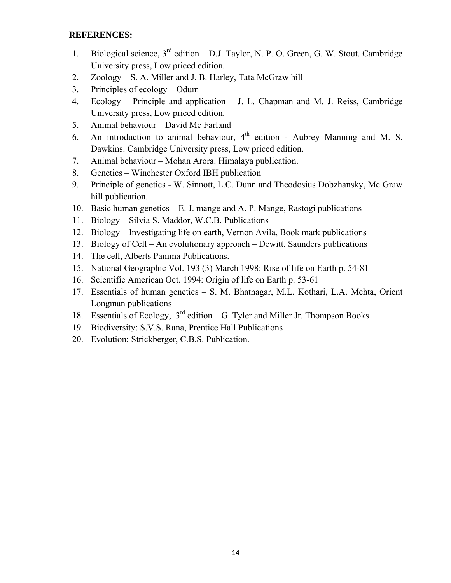### **REFERENCES:**

- 1. Biological science,  $3<sup>rd</sup>$  edition D.J. Taylor, N. P. O. Green, G. W. Stout. Cambridge University press, Low priced edition.
- 2. Zoology S. A. Miller and J. B. Harley, Tata McGraw hill
- 3. Principles of ecology Odum
- 4. Ecology Principle and application J. L. Chapman and M. J. Reiss, Cambridge University press, Low priced edition.
- 5. Animal behaviour David Mc Farland
- 6. An introduction to animal behaviour,  $4<sup>th</sup>$  edition Aubrey Manning and M. S. Dawkins. Cambridge University press, Low priced edition.
- 7. Animal behaviour Mohan Arora. Himalaya publication.
- 8. Genetics Winchester Oxford IBH publication
- 9. Principle of genetics W. Sinnott, L.C. Dunn and Theodosius Dobzhansky, Mc Graw hill publication.
- 10. Basic human genetics E. J. mange and A. P. Mange, Rastogi publications
- 11. Biology Silvia S. Maddor, W.C.B. Publications
- 12. Biology Investigating life on earth, Vernon Avila, Book mark publications
- 13. Biology of Cell An evolutionary approach Dewitt, Saunders publications
- 14. The cell, Alberts Panima Publications.
- 15. National Geographic Vol. 193 (3) March 1998: Rise of life on Earth p. 54-81
- 16. Scientific American Oct. 1994: Origin of life on Earth p. 53-61
- 17. Essentials of human genetics S. M. Bhatnagar, M.L. Kothari, L.A. Mehta, Orient Longman publications
- 18. Essentials of Ecology,  $3<sup>rd</sup>$  edition G. Tyler and Miller Jr. Thompson Books
- 19. Biodiversity: S.V.S. Rana, Prentice Hall Publications
- 20. Evolution: Strickberger, C.B.S. Publication.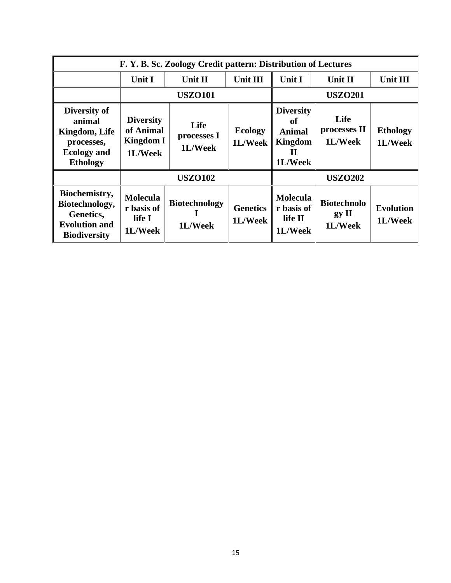| F. Y. B. Sc. Zoology Credit pattern: Distribution of Lectures                                  |                                                       |                                 |                            |                                                                           |                                        |                             |  |
|------------------------------------------------------------------------------------------------|-------------------------------------------------------|---------------------------------|----------------------------|---------------------------------------------------------------------------|----------------------------------------|-----------------------------|--|
|                                                                                                | Unit I                                                | Unit II                         | Unit III                   | Unit I                                                                    | Unit II                                | <b>Unit III</b>             |  |
|                                                                                                |                                                       | <b>USZO101</b>                  |                            |                                                                           | <b>USZO201</b>                         |                             |  |
| Diversity of<br>animal<br>Kingdom, Life<br>processes,<br><b>Ecology</b> and<br><b>Ethology</b> | <b>Diversity</b><br>of Animal<br>Kingdom I<br>1L/Week | Life<br>processes I<br>1L/Week  | <b>Ecology</b><br>1L/Week  | <b>Diversity</b><br>of<br><b>Animal</b><br><b>Kingdom</b><br>П<br>1L/Week | Life<br>processes II<br>1L/Week        | <b>Ethology</b><br>1L/Week  |  |
|                                                                                                | <b>USZO102</b>                                        |                                 |                            | <b>USZO202</b>                                                            |                                        |                             |  |
| Biochemistry,<br>Biotechnology,<br>Genetics,<br><b>Evolution and</b><br><b>Biodiversity</b>    | <b>Molecula</b><br>r basis of<br>life I<br>1L/Week    | <b>Biotechnology</b><br>1L/Week | <b>Genetics</b><br>1L/Week | <b>Molecula</b><br>r basis of<br>life II<br>1L/Week                       | <b>Biotechnolo</b><br>gy II<br>1L/Week | <b>Evolution</b><br>1L/Week |  |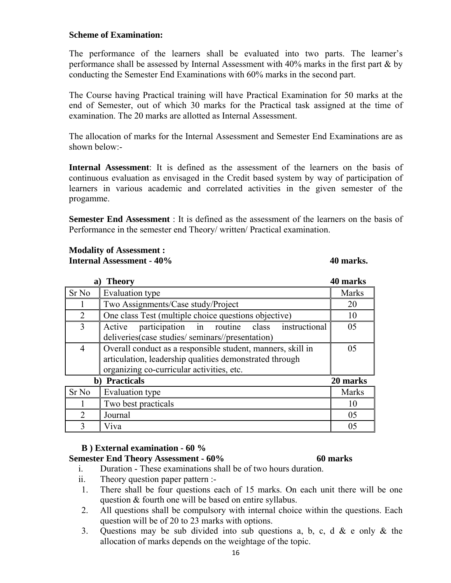### **Scheme of Examination:**

The performance of the learners shall be evaluated into two parts. The learner's performance shall be assessed by Internal Assessment with 40% marks in the first part & by conducting the Semester End Examinations with 60% marks in the second part.

The Course having Practical training will have Practical Examination for 50 marks at the end of Semester, out of which 30 marks for the Practical task assigned at the time of examination. The 20 marks are allotted as Internal Assessment.

The allocation of marks for the Internal Assessment and Semester End Examinations are as shown below:-

**Internal Assessment**: It is defined as the assessment of the learners on the basis of continuous evaluation as envisaged in the Credit based system by way of participation of learners in various academic and correlated activities in the given semester of the progamme.

**Semester End Assessment** : It is defined as the assessment of the learners on the basis of Performance in the semester end Theory/ written/ Practical examination.

### **Modality of Assessment : Internal Assessment - 40% 40 marks. 40 marks. 40 marks.**

| 40 marks<br><b>Theory</b><br>a)     |                                                                                                                                                                     |              |  |  |
|-------------------------------------|---------------------------------------------------------------------------------------------------------------------------------------------------------------------|--------------|--|--|
| Sr <sub>No</sub>                    | Evaluation type                                                                                                                                                     | <b>Marks</b> |  |  |
|                                     | Two Assignments/Case study/Project                                                                                                                                  | 20           |  |  |
| $\overline{2}$                      | One class Test (multiple choice questions objective)                                                                                                                | 10           |  |  |
| 3                                   | participation in routine class instructional<br>Active<br>deliveries(case studies/ seminars//presentation)                                                          | 05           |  |  |
| $\overline{4}$                      | Overall conduct as a responsible student, manners, skill in<br>articulation, leadership qualities demonstrated through<br>organizing co-curricular activities, etc. | 05           |  |  |
| <b>Practicals</b><br>20 marks<br>b) |                                                                                                                                                                     |              |  |  |
| Sr <sub>No</sub>                    | Evaluation type                                                                                                                                                     | <b>Marks</b> |  |  |
|                                     | Two best practicals                                                                                                                                                 | 10           |  |  |
| $\mathcal{D}$                       | Journal                                                                                                                                                             | 05           |  |  |
| 3                                   | Viva                                                                                                                                                                | 05           |  |  |

### **B ) External examination - 60 %**

### **Semester End Theory Assessment - 60% 60 marks**

- i. Duration These examinations shall be of two hours duration.
- ii. Theory question paper pattern :-
- 1. There shall be four questions each of 15 marks. On each unit there will be one question & fourth one will be based on entire syllabus.
- 2. All questions shall be compulsory with internal choice within the questions. Each question will be of 20 to 23 marks with options.
- 3. Questions may be sub divided into sub questions a, b, c, d & e only & the allocation of marks depends on the weightage of the topic.